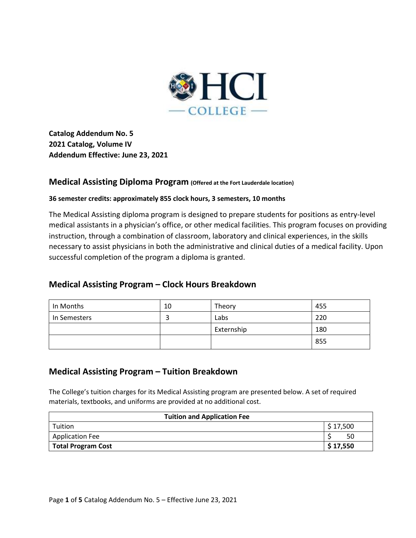

**Catalog Addendum No. 5 2021 Catalog, Volume IV Addendum Effective: June 23, 2021** 

## **Medical Assisting Diploma Program (Offered at the Fort Lauderdale location)**

### **36 semester credits: approximately 855 clock hours, 3 semesters, 10 months**

The Medical Assisting diploma program is designed to prepare students for positions as entry-level medical assistants in a physician's office, or other medical facilities. This program focuses on providing instruction, through a combination of classroom, laboratory and clinical experiences, in the skills necessary to assist physicians in both the administrative and clinical duties of a medical facility. Upon successful completion of the program a diploma is granted.

# **Medical Assisting Program – Clock Hours Breakdown**

| In Months    | 10 | Theory     | 455 |
|--------------|----|------------|-----|
| In Semesters |    | Labs       | 220 |
|              |    | Externship | 180 |
|              |    |            | 855 |

# **Medical Assisting Program – Tuition Breakdown**

The College's tuition charges for its Medical Assisting program are presented below. A set of required materials, textbooks, and uniforms are provided at no additional cost.

| <b>Tuition and Application Fee</b> |           |  |
|------------------------------------|-----------|--|
| Tuition                            | \$17,500  |  |
| <b>Application Fee</b>             | 50        |  |
| <b>Total Program Cost</b>          | \$ 17,550 |  |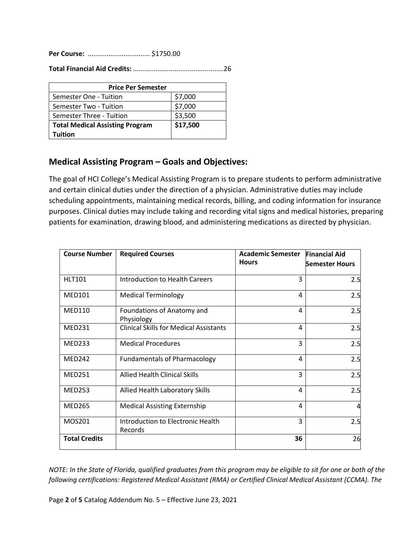**Per Course:** ................................. \$1750.00

**Total Financial Aid Credits:** ................................................26

| <b>Price Per Semester</b>              |          |  |
|----------------------------------------|----------|--|
| Semester One - Tuition                 | \$7,000  |  |
| Semester Two - Tuition                 | \$7,000  |  |
| Semester Three - Tuition               | \$3,500  |  |
| <b>Total Medical Assisting Program</b> | \$17,500 |  |
| Tuition                                |          |  |

# **Medical Assisting Program – Goals and Objectives:**

The goal of HCI College's Medical Assisting Program is to prepare students to perform administrative and certain clinical duties under the direction of a physician. Administrative duties may include scheduling appointments, maintaining medical records, billing, and coding information for insurance purposes. Clinical duties may include taking and recording vital signs and medical histories, preparing patients for examination, drawing blood, and administering medications as directed by physician.

| <b>Course Number</b> | <b>Required Courses</b>                       | <b>Academic Semester</b> | <b>Financial Aid</b>  |
|----------------------|-----------------------------------------------|--------------------------|-----------------------|
|                      |                                               | <b>Hours</b>             | <b>Semester Hours</b> |
| <b>HLT101</b>        | <b>Introduction to Health Careers</b>         | 3                        | 2.5                   |
| <b>MED101</b>        | <b>Medical Terminology</b>                    | 4                        | 2.5                   |
| <b>MED110</b>        | Foundations of Anatomy and<br>Physiology      | 4                        | 2.5                   |
| <b>MED231</b>        | <b>Clinical Skills for Medical Assistants</b> | 4                        | 2.5                   |
| <b>MED233</b>        | <b>Medical Procedures</b>                     | 3                        | 2.5                   |
| <b>MED242</b>        | <b>Fundamentals of Pharmacology</b>           | 4                        | 2.5                   |
| <b>MED251</b>        | <b>Allied Health Clinical Skills</b>          | 3                        | 2.5                   |
| <b>MED253</b>        | Allied Health Laboratory Skills               | 4                        | 2.5                   |
| <b>MED265</b>        | <b>Medical Assisting Externship</b>           | 4                        | $\overline{a}$        |
| MOS201               | Introduction to Electronic Health<br>Records  | 3                        | 2.5                   |
| <b>Total Credits</b> |                                               | 36                       | 26                    |

*NOTE: In the State of Florida, qualified graduates from this program may be eligible to sit for one or both of the following certifications: Registered Medical Assistant (RMA) or Certified Clinical Medical Assistant (CCMA). The*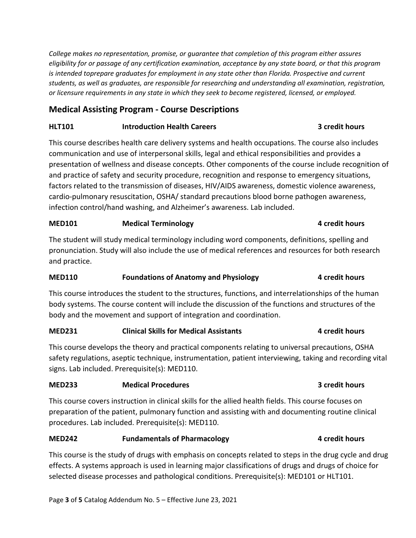*College makes no representation, promise, or guarantee that completion of this program either assures eligibility for or passage of any certification examination, acceptance by any state board, or that this program is intended toprepare graduates for employment in any state other than Florida. Prospective and current students, as well as graduates, are responsible for researching and understanding all examination, registration, or licensure requirements in any state in which they seek to become registered, licensed, or employed.*

# **Medical Assisting Program - Course Descriptions**

## **HLT101 Introduction Health Careers 3 credit hours**

This course describes health care delivery systems and health occupations. The course also includes communication and use of interpersonal skills, legal and ethical responsibilities and provides a presentation of wellness and disease concepts. Other components of the course include recognition of and practice of safety and security procedure, recognition and response to emergency situations, factors related to the transmission of diseases, HIV/AIDS awareness, domestic violence awareness, cardio-pulmonary resuscitation, OSHA/ standard precautions blood borne pathogen awareness, infection control/hand washing, and Alzheimer's awareness. Lab included.

## **MED101 Medical Terminology 1 MED101 4 credit hours**

The student will study medical terminology including word components, definitions, spelling and pronunciation. Study will also include the use of medical references and resources for both research and practice.

## **MED110 Foundations of Anatomy and Physiology 4 credit hours**

This course introduces the student to the structures, functions, and interrelationships of the human body systems. The course content will include the discussion of the functions and structures of the body and the movement and support of integration and coordination.

# **MED231 Clinical Skills for Medical Assistants 4 credit hours**

This course develops the theory and practical components relating to universal precautions, OSHA safety regulations, aseptic technique, instrumentation, patient interviewing, taking and recording vital signs. Lab included. Prerequisite(s): MED110.

## **MED233 Medical Procedures 3 credit hours**

This course covers instruction in clinical skills for the allied health fields. This course focuses on preparation of the patient, pulmonary function and assisting with and documenting routine clinical procedures. Lab included. Prerequisite(s): MED110.

# **MED242 Fundamentals of Pharmacology 4 credit hours**

This course is the study of drugs with emphasis on concepts related to steps in the drug cycle and drug effects. A systems approach is used in learning major classifications of drugs and drugs of choice for selected disease processes and pathological conditions. Prerequisite(s): MED101 or HLT101.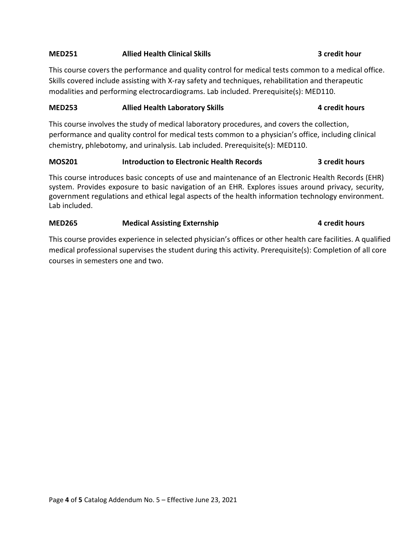### **MED251 Allied Health Clinical Skills 3 credit hour**

This course covers the performance and quality control for medical tests common to a medical office. Skills covered include assisting with X-ray safety and techniques, rehabilitation and therapeutic modalities and performing electrocardiograms. Lab included. Prerequisite(s): MED110.

### **MED253 Allied Health Laboratory Skills 4 credit hours**

This course involves the study of medical laboratory procedures, and covers the collection, performance and quality control for medical tests common to a physician's office, including clinical chemistry, phlebotomy, and urinalysis. Lab included. Prerequisite(s): MED110.

### **MOS201 Introduction to Electronic Health Records 3 credit hours**

This course introduces basic concepts of use and maintenance of an Electronic Health Records (EHR) system. Provides exposure to basic navigation of an EHR. Explores issues around privacy, security, government regulations and ethical legal aspects of the health information technology environment. Lab included.

### **MED265 Medical Assisting Externship 4 credit hours**

This course provides experience in selected physician's offices or other health care facilities. A qualified medical professional supervises the student during this activity. Prerequisite(s): Completion of all core courses in semesters one and two.